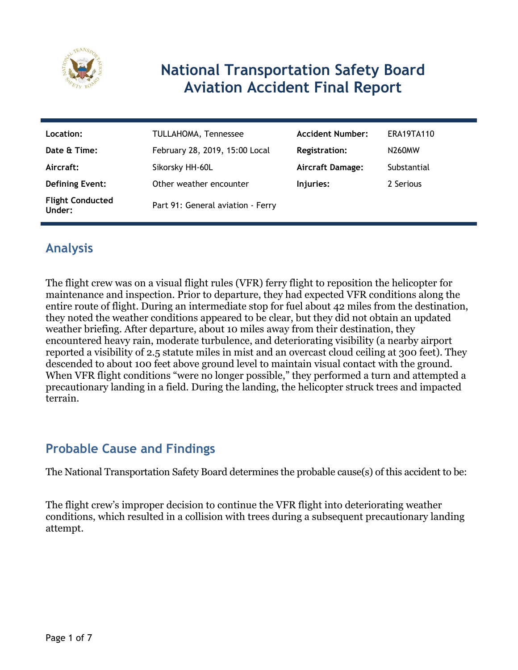

# **National Transportation Safety Board Aviation Accident Final Report**

| Location:                         | TULLAHOMA, Tennessee              | <b>Accident Number:</b> | <b>ERA19TA110</b> |
|-----------------------------------|-----------------------------------|-------------------------|-------------------|
| Date & Time:                      | February 28, 2019, 15:00 Local    | <b>Registration:</b>    | N260MW            |
| Aircraft:                         | Sikorsky HH-60L                   | <b>Aircraft Damage:</b> | Substantial       |
| <b>Defining Event:</b>            | Other weather encounter           | Injuries:               | 2 Serious         |
| <b>Flight Conducted</b><br>Under: | Part 91: General aviation - Ferry |                         |                   |

## **Analysis**

The flight crew was on a visual flight rules (VFR) ferry flight to reposition the helicopter for maintenance and inspection. Prior to departure, they had expected VFR conditions along the entire route of flight. During an intermediate stop for fuel about 42 miles from the destination, they noted the weather conditions appeared to be clear, but they did not obtain an updated weather briefing. After departure, about 10 miles away from their destination, they encountered heavy rain, moderate turbulence, and deteriorating visibility (a nearby airport reported a visibility of 2.5 statute miles in mist and an overcast cloud ceiling at 300 feet). They descended to about 100 feet above ground level to maintain visual contact with the ground. When VFR flight conditions "were no longer possible," they performed a turn and attempted a precautionary landing in a field. During the landing, the helicopter struck trees and impacted terrain.

## **Probable Cause and Findings**

The National Transportation Safety Board determines the probable cause(s) of this accident to be:

The flight crew's improper decision to continue the VFR flight into deteriorating weather conditions, which resulted in a collision with trees during a subsequent precautionary landing attempt.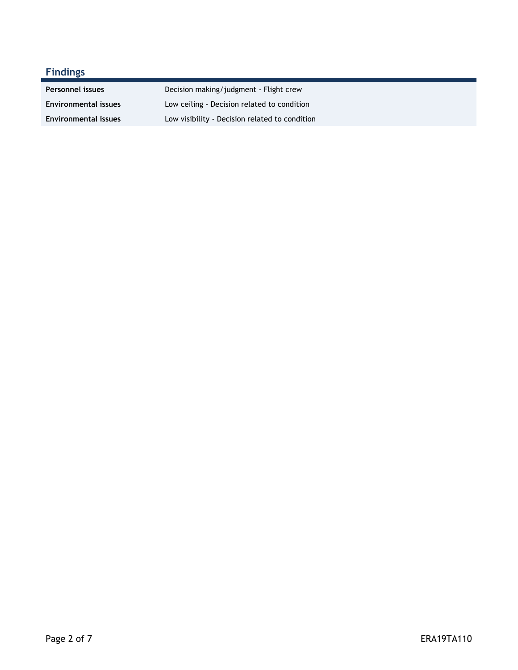# **Findings**

| <b>Personnel issues</b>     | Decision making/judgment - Flight crew         |
|-----------------------------|------------------------------------------------|
| <b>Environmental issues</b> | Low ceiling - Decision related to condition    |
| <b>Environmental issues</b> | Low visibility - Decision related to condition |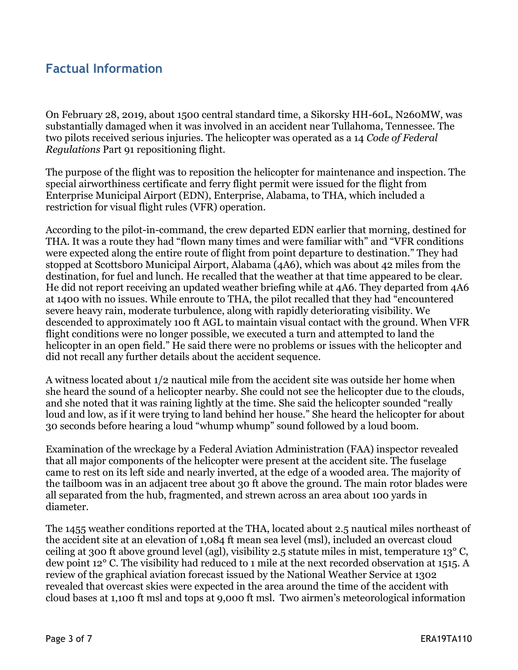### **Factual Information**

On February 28, 2019, about 1500 central standard time, a Sikorsky HH-60L, N260MW, was substantially damaged when it was involved in an accident near Tullahoma, Tennessee. The two pilots received serious injuries. The helicopter was operated as a 14 *Code of Federal Regulations* Part 91 repositioning flight.

The purpose of the flight was to reposition the helicopter for maintenance and inspection. The special airworthiness certificate and ferry flight permit were issued for the flight from Enterprise Municipal Airport (EDN), Enterprise, Alabama, to THA, which included a restriction for visual flight rules (VFR) operation.

According to the pilot-in-command, the crew departed EDN earlier that morning, destined for THA. It was a route they had "flown many times and were familiar with" and "VFR conditions were expected along the entire route of flight from point departure to destination." They had stopped at Scottsboro Municipal Airport, Alabama (4A6), which was about 42 miles from the destination, for fuel and lunch. He recalled that the weather at that time appeared to be clear. He did not report receiving an updated weather briefing while at 4A6. They departed from 4A6 at 1400 with no issues. While enroute to THA, the pilot recalled that they had "encountered severe heavy rain, moderate turbulence, along with rapidly deteriorating visibility. We descended to approximately 100 ft AGL to maintain visual contact with the ground. When VFR flight conditions were no longer possible, we executed a turn and attempted to land the helicopter in an open field." He said there were no problems or issues with the helicopter and did not recall any further details about the accident sequence.

A witness located about 1/2 nautical mile from the accident site was outside her home when she heard the sound of a helicopter nearby. She could not see the helicopter due to the clouds, and she noted that it was raining lightly at the time. She said the helicopter sounded "really loud and low, as if it were trying to land behind her house." She heard the helicopter for about 30 seconds before hearing a loud "whump whump" sound followed by a loud boom.

Examination of the wreckage by a Federal Aviation Administration (FAA) inspector revealed that all major components of the helicopter were present at the accident site. The fuselage came to rest on its left side and nearly inverted, at the edge of a wooded area. The majority of the tailboom was in an adjacent tree about 30 ft above the ground. The main rotor blades were all separated from the hub, fragmented, and strewn across an area about 100 yards in diameter.

The 1455 weather conditions reported at the THA, located about 2.5 nautical miles northeast of the accident site at an elevation of 1,084 ft mean sea level (msl), included an overcast cloud ceiling at 300 ft above ground level (agl), visibility 2.5 statute miles in mist, temperature 13° C, dew point 12° C. The visibility had reduced to 1 mile at the next recorded observation at 1515. A review of the graphical aviation forecast issued by the National Weather Service at 1302 revealed that overcast skies were expected in the area around the time of the accident with cloud bases at 1,100 ft msl and tops at 9,000 ft msl. Two airmen's meteorological information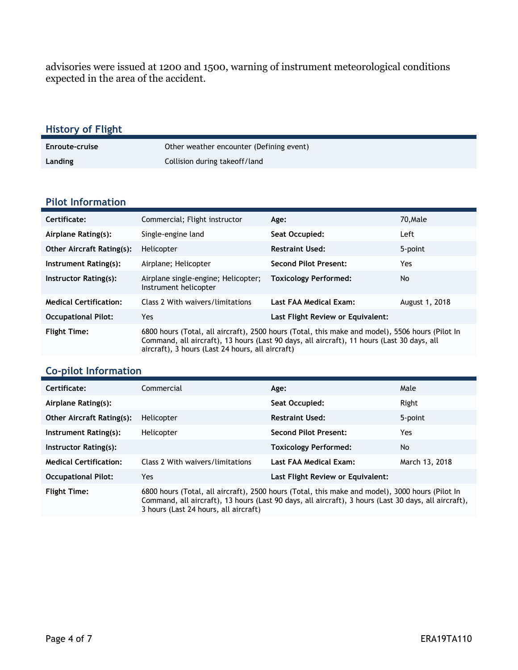advisories were issued at 1200 and 1500, warning of instrument meteorological conditions expected in the area of the accident.

| <b>History of Flight</b> |                                          |
|--------------------------|------------------------------------------|
| <b>Enroute-cruise</b>    | Other weather encounter (Defining event) |
| Landing                  | Collision during take of f/land          |

#### **Pilot Information**

| Certificate:                     | Commercial; Flight instructor                                                                                                                                                                                                                     | Age:                              | 70.Male        |
|----------------------------------|---------------------------------------------------------------------------------------------------------------------------------------------------------------------------------------------------------------------------------------------------|-----------------------------------|----------------|
| Airplane Rating(s):              | Single-engine land                                                                                                                                                                                                                                | Seat Occupied:                    | Left           |
| <b>Other Aircraft Rating(s):</b> | Helicopter                                                                                                                                                                                                                                        | <b>Restraint Used:</b>            | 5-point        |
| Instrument Rating(s):            | Airplane; Helicopter                                                                                                                                                                                                                              | <b>Second Pilot Present:</b>      | Yes            |
| Instructor Rating(s):            | Airplane single-engine; Helicopter;<br>Instrument helicopter                                                                                                                                                                                      | <b>Toxicology Performed:</b>      | No.            |
| <b>Medical Certification:</b>    | Class 2 With waivers/limitations                                                                                                                                                                                                                  | Last FAA Medical Exam:            | August 1, 2018 |
| <b>Occupational Pilot:</b>       | Yes                                                                                                                                                                                                                                               | Last Flight Review or Equivalent: |                |
| <b>Flight Time:</b>              | 6800 hours (Total, all aircraft), 2500 hours (Total, this make and model), 5506 hours (Pilot In<br>Command, all aircraft), 13 hours (Last 90 days, all aircraft), 11 hours (Last 30 days, all<br>aircraft), 3 hours (Last 24 hours, all aircraft) |                                   |                |

#### **Co-pilot Information**

| Certificate:                     | Commercial                                                                                                                                                                                                                                       | Age:                              | Male           |
|----------------------------------|--------------------------------------------------------------------------------------------------------------------------------------------------------------------------------------------------------------------------------------------------|-----------------------------------|----------------|
| Airplane Rating(s):              |                                                                                                                                                                                                                                                  | Seat Occupied:                    | Right          |
| <b>Other Aircraft Rating(s):</b> | Helicopter                                                                                                                                                                                                                                       | <b>Restraint Used:</b>            | 5-point        |
| Instrument Rating(s):            | Helicopter                                                                                                                                                                                                                                       | <b>Second Pilot Present:</b>      | Yes            |
| Instructor Rating(s):            |                                                                                                                                                                                                                                                  | <b>Toxicology Performed:</b>      | No             |
| <b>Medical Certification:</b>    | Class 2 With waivers/limitations                                                                                                                                                                                                                 | Last FAA Medical Exam:            | March 13, 2018 |
| <b>Occupational Pilot:</b>       | Yes                                                                                                                                                                                                                                              | Last Flight Review or Equivalent: |                |
| <b>Flight Time:</b>              | 6800 hours (Total, all aircraft), 2500 hours (Total, this make and model), 3000 hours (Pilot In<br>Command, all aircraft), 13 hours (Last 90 days, all aircraft), 3 hours (Last 30 days, all aircraft),<br>3 hours (Last 24 hours, all aircraft) |                                   |                |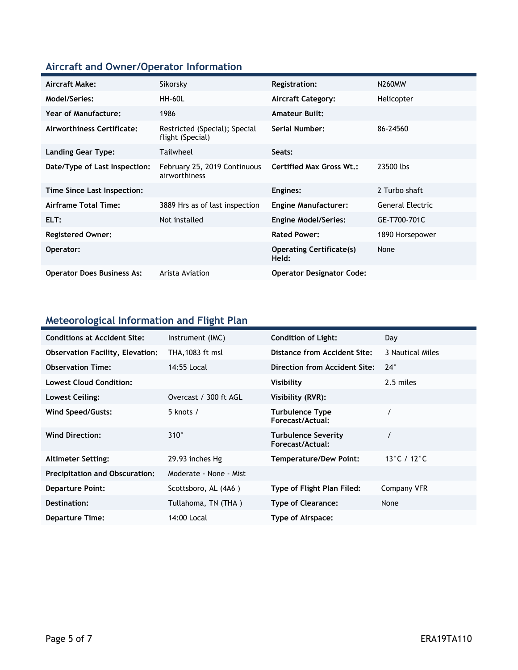## **Aircraft and Owner/Operator Information**

| Aircraft Make:                    | Sikorsky                                          | Registration:                            | <b>N260MW</b>    |
|-----------------------------------|---------------------------------------------------|------------------------------------------|------------------|
| Model/Series:                     | <b>HH-60L</b>                                     | <b>Aircraft Category:</b>                | Helicopter       |
| Year of Manufacture:              | 1986                                              | <b>Amateur Built:</b>                    |                  |
| Airworthiness Certificate:        | Restricted (Special); Special<br>flight (Special) | Serial Number:                           | 86-24560         |
| Landing Gear Type:                | Tailwheel                                         | Seats:                                   |                  |
| Date/Type of Last Inspection:     | February 25, 2019 Continuous<br>airworthiness     | <b>Certified Max Gross Wt.:</b>          | 23500 lbs        |
| Time Since Last Inspection:       |                                                   | Engines:                                 | 2 Turbo shaft    |
| Airframe Total Time:              | 3889 Hrs as of last inspection                    | <b>Engine Manufacturer:</b>              | General Electric |
| ELT:                              | Not installed                                     | <b>Engine Model/Series:</b>              | GE-T700-701C     |
| <b>Registered Owner:</b>          |                                                   | <b>Rated Power:</b>                      | 1890 Horsepower  |
| Operator:                         |                                                   | <b>Operating Certificate(s)</b><br>Held: | None             |
| <b>Operator Does Business As:</b> | Arista Aviation                                   | <b>Operator Designator Code:</b>         |                  |

#### **Meteorological Information and Flight Plan**

| <b>Conditions at Accident Site:</b>     | Instrument (IMC)       | <b>Condition of Light:</b>                     | Day                               |
|-----------------------------------------|------------------------|------------------------------------------------|-----------------------------------|
| <b>Observation Facility, Elevation:</b> | THA, 1083 ft msl       | Distance from Accident Site:                   | 3 Nautical Miles                  |
| <b>Observation Time:</b>                | 14:55 Local            | Direction from Accident Site:                  | $24^\circ$                        |
| <b>Lowest Cloud Condition:</b>          |                        | Visibility                                     | 2.5 miles                         |
| Lowest Ceiling:                         | Overcast / 300 ft AGL  | Visibility (RVR):                              |                                   |
| Wind Speed/Gusts:                       | 5 knots $/$            | <b>Turbulence Type</b><br>Forecast/Actual:     |                                   |
| <b>Wind Direction:</b>                  | $310^\circ$            | <b>Turbulence Severity</b><br>Forecast/Actual: |                                   |
| <b>Altimeter Setting:</b>               | 29.93 inches Hg        | <b>Temperature/Dew Point:</b>                  | 13 $^{\circ}$ C / 12 $^{\circ}$ C |
| <b>Precipitation and Obscuration:</b>   | Moderate - None - Mist |                                                |                                   |
| <b>Departure Point:</b>                 | Scottsboro, AL (4A6)   | Type of Flight Plan Filed:                     | Company VFR                       |
| Destination:                            | Tullahoma, TN (THA)    | <b>Type of Clearance:</b>                      | None                              |
| <b>Departure Time:</b>                  | 14:00 Local            | Type of Airspace:                              |                                   |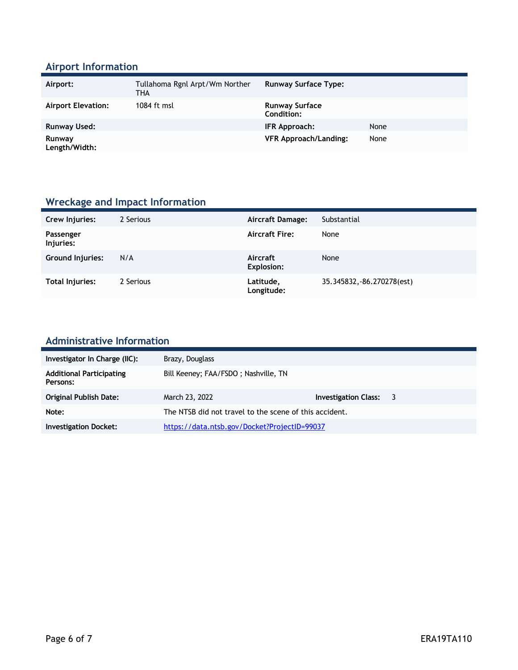## **Airport Information**

| Airport:                  | Tullahoma Rgnl Arpt/Wm Norther<br>THA | <b>Runway Surface Type:</b>         |      |
|---------------------------|---------------------------------------|-------------------------------------|------|
| <b>Airport Elevation:</b> | 1084 ft msl                           | <b>Runway Surface</b><br>Condition: |      |
| Runway Used:              |                                       | IFR Approach:                       | None |
| Runway<br>Length/Width:   |                                       | <b>VFR Approach/Landing:</b>        | None |

## **Wreckage and Impact Information**

| Crew Injuries:         | 2 Serious | <b>Aircraft Damage:</b>       | Substantial                |
|------------------------|-----------|-------------------------------|----------------------------|
| Passenger<br>Injuries: |           | <b>Aircraft Fire:</b>         | None                       |
| Ground Injuries:       | N/A       | Aircraft<br><b>Explosion:</b> | None                       |
| Total Injuries:        | 2 Serious | Latitude,<br>Longitude:       | 35.345832, -86.270278(est) |

#### **Administrative Information**

| Investigator In Charge (IIC):               | Brazy, Douglass                                        |                      |     |
|---------------------------------------------|--------------------------------------------------------|----------------------|-----|
| <b>Additional Participating</b><br>Persons: | Bill Keeney; FAA/FSDO; Nashville, TN                   |                      |     |
| Original Publish Date:                      | March 23, 2022                                         | Investigation Class: | - 3 |
| Note:                                       | The NTSB did not travel to the scene of this accident. |                      |     |
| <b>Investigation Docket:</b>                | https://data.ntsb.gov/Docket?ProjectID=99037           |                      |     |